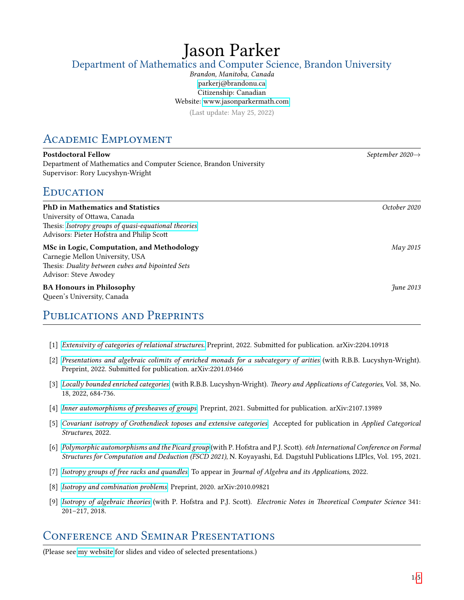# Jason Parker Department of Mathematics and Computer Science, Brandon University

### Brandon, Manitoba, Canada [parkerj@brandonu.ca](mailto:parkerj@brandonu.ca) Citizenship: Canadian Website:<www.jasonparkermath.com>

(Last update: May 25, 2022)

# Academic Employment

| <b>Postdoctoral Fellow</b>                                         |
|--------------------------------------------------------------------|
| Department of Mathematics and Computer Science, Brandon University |
| Supervisor: Rory Lucyshyn-Wright                                   |

# **EDUCATION**

| <b>PhD</b> in Mathematics and Statistics                      | October 2020 |
|---------------------------------------------------------------|--------------|
| University of Ottawa, Canada                                  |              |
| Thesis: Isotropy groups of quasi-equational theories          |              |
| Advisors: Pieter Hofstra and Philip Scott                     |              |
| MSc in Logic, Computation, and Methodology                    | $May\,2015$  |
| Carnegie Mellon University, USA                               |              |
| Thesis: Duality between cubes and bipointed Sets              |              |
| Advisor: Steve Awodey                                         |              |
| <b>BA Honours in Philosophy</b><br>Queen's University, Canada | Fune 2013    |
| PUBLICATIONS AND PREPRINTS                                    |              |

- [1] [Extensivity of categories of relational structures](https://arxiv.org/abs/2204.10918). Preprint, 2022. Submitted for publication. arXiv:2204.10918
- [2] [Presentations and algebraic colimits of enriched monads for a subcategory of arities](https://arxiv.org/abs/2201.03466) (with R.B.B. Lucyshyn-Wright). Preprint, 2022. Submitted for publication. arXiv:2201.03466
- [3] [Locally bounded enriched categories](http://www.tac.mta.ca/tac/volumes/38/18/38-18.pdf) (with R.B.B. Lucyshyn-Wright). Theory and Applications of Categories, Vol. 38, No. 18, 2022, 684-736.
- [4] [Inner automorphisms of presheaves of groups](https://arxiv.org/abs/2107.13989). Preprint, 2021. Submitted for publication. arXiv:2107.13989
- [5] [Covariant isotropy of Grothendieck toposes and extensive categories](https://arxiv.org/abs/2104.13487). Accepted for publication in Applied Categorical Structures, 2022.
- [6] [Polymorphic automorphisms and the Picard group](https://drops.dagstuhl.de/opus/volltexte/2021/14264/) (with P. Hofstra and P.J. Scott). 6th International Conference on Formal Structures for Computation and Deduction (FSCD 2021), N. Koyayashi, Ed. Dagstuhl Publications LIPlcs, Vol. 195, 2021.
- [7] [Isotropy groups of free racks and quandles](https://www.worldscientific.com/doi/abs/10.1142/S0219498822501638). To appear in Journal of Algebra and its Applications, 2022.
- [8] [Isotropy and combination problems](https://arxiv.org/abs/2010.09821). Preprint, 2020. arXiv:2010.09821
- [9] [Isotropy of algebraic theories](https://www.sciencedirect.com/science/article/pii/S1571066118300914) (with P. Hofstra and P.J. Scott). Electronic Notes in Theoretical Computer Science 341: 201–217, 2018.

# Conference and Seminar Presentations

(Please see [my website](www.jasonparkermath.com) for slides and video of selected presentations.)

 $September~2020\rightarrow$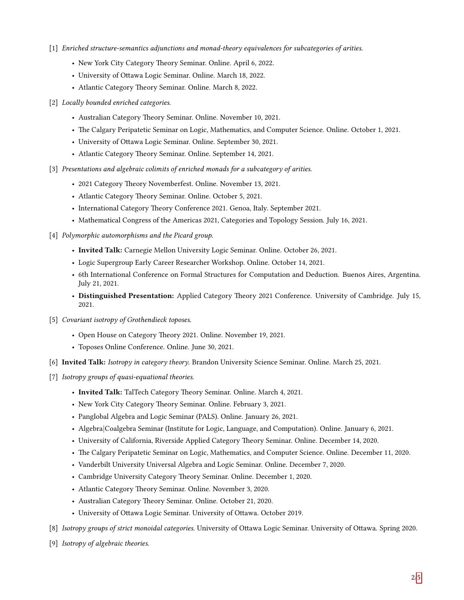- [1] Enriched structure-semantics adjunctions and monad-theory equivalences for subcategories of arities.
	- New York City Category Theory Seminar. Online. April 6, 2022.
	- University of Ottawa Logic Seminar. Online. March 18, 2022.
	- Atlantic Category Theory Seminar. Online. March 8, 2022.
- [2] Locally bounded enriched categories.
	- Australian Category Theory Seminar. Online. November 10, 2021.
	- The Calgary Peripatetic Seminar on Logic, Mathematics, and Computer Science. Online. October 1, 2021.
	- University of Ottawa Logic Seminar. Online. September 30, 2021.
	- Atlantic Category Theory Seminar. Online. September 14, 2021.
- [3] Presentations and algebraic colimits of enriched monads for a subcategory of arities.
	- 2021 Category Theory Novemberfest. Online. November 13, 2021.
	- Atlantic Category Theory Seminar. Online. October 5, 2021.
	- International Category Theory Conference 2021. Genoa, Italy. September 2021.
	- Mathematical Congress of the Americas 2021, Categories and Topology Session. July 16, 2021.

#### [4] Polymorphic automorphisms and the Picard group.

- Invited Talk: Carnegie Mellon University Logic Seminar. Online. October 26, 2021.
- Logic Supergroup Early Career Researcher Workshop. Online. October 14, 2021.
- 6th International Conference on Formal Structures for Computation and Deduction. Buenos Aires, Argentina. July 21, 2021.
- Distinguished Presentation: Applied Category Theory 2021 Conference. University of Cambridge. July 15, 2021.
- [5] Covariant isotropy of Grothendieck toposes.
	- Open House on Category Theory 2021. Online. November 19, 2021.
	- Toposes Online Conference. Online. June 30, 2021.
- [6] Invited Talk: Isotropy in category theory. Brandon University Science Seminar. Online. March 25, 2021.
- [7] Isotropy groups of quasi-equational theories.
	- Invited Talk: TalTech Category Theory Seminar. Online. March 4, 2021.
	- New York City Category Theory Seminar. Online. February 3, 2021.
	- Panglobal Algebra and Logic Seminar (PALS). Online. January 26, 2021.
	- Algebra|Coalgebra Seminar (Institute for Logic, Language, and Computation). Online. January 6, 2021.
	- University of California, Riverside Applied Category Theory Seminar. Online. December 14, 2020.
	- The Calgary Peripatetic Seminar on Logic, Mathematics, and Computer Science. Online. December 11, 2020.
	- Vanderbilt University Universal Algebra and Logic Seminar. Online. December 7, 2020.
	- Cambridge University Category Theory Seminar. Online. December 1, 2020.
	- Atlantic Category Theory Seminar. Online. November 3, 2020.
	- Australian Category Theory Seminar. Online. October 21, 2020.
	- University of Ottawa Logic Seminar. University of Ottawa. October 2019.
- [8] Isotropy groups of strict monoidal categories. University of Ottawa Logic Seminar. University of Ottawa. Spring 2020.
- [9] Isotropy of algebraic theories.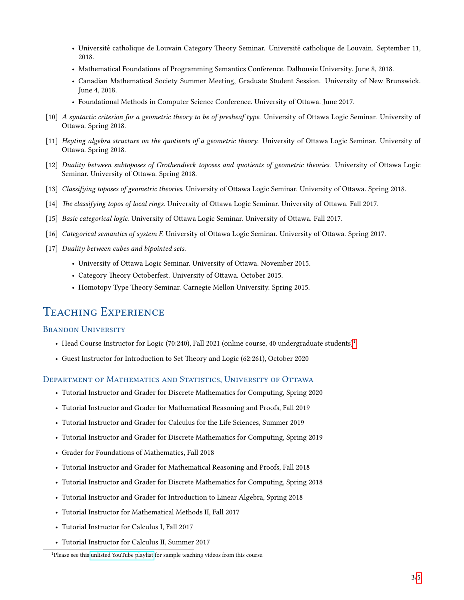- Université catholique de Louvain Category Theory Seminar. Université catholique de Louvain. September 11, 2018.
- Mathematical Foundations of Programming Semantics Conference. Dalhousie University. June 8, 2018.
- Canadian Mathematical Society Summer Meeting, Graduate Student Session. University of New Brunswick. June 4, 2018.
- Foundational Methods in Computer Science Conference. University of Ottawa. June 2017.
- [10] A syntactic criterion for a geometric theory to be of presheaf type. University of Ottawa Logic Seminar. University of Ottawa. Spring 2018.
- [11] Heyting algebra structure on the quotients of a geometric theory. University of Ottawa Logic Seminar. University of Ottawa. Spring 2018.
- [12] Duality between subtoposes of Grothendieck toposes and quotients of geometric theories. University of Ottawa Logic Seminar. University of Ottawa. Spring 2018.
- [13] Classifying toposes of geometric theories. University of Ottawa Logic Seminar. University of Ottawa. Spring 2018.
- [14] The classifying topos of local rings. University of Ottawa Logic Seminar. University of Ottawa. Fall 2017.
- [15] Basic categorical logic. University of Ottawa Logic Seminar. University of Ottawa. Fall 2017.
- [16] Categorical semantics of system F. University of Ottawa Logic Seminar. University of Ottawa. Spring 2017.
- [17] Duality between cubes and bipointed sets.
	- University of Ottawa Logic Seminar. University of Ottawa. November 2015.
	- Category Theory Octoberfest. University of Ottawa. October 2015.
	- Homotopy Type Theory Seminar. Carnegie Mellon University. Spring 2015.

## TEACHING EXPERIENCE

#### **BRANDON UNIVERSITY**

- Head Course Instructor for Logic (70:240), Fall 202[1](#page-2-0) (online course, 40 undergraduate students)<sup>1</sup>
- Guest Instructor for Introduction to Set Theory and Logic (62:261), October 2020

#### Department of Mathematics and Statistics, University of Ottawa

- Tutorial Instructor and Grader for Discrete Mathematics for Computing, Spring 2020
- Tutorial Instructor and Grader for Mathematical Reasoning and Proofs, Fall 2019
- Tutorial Instructor and Grader for Calculus for the Life Sciences, Summer 2019
- Tutorial Instructor and Grader for Discrete Mathematics for Computing, Spring 2019
- Grader for Foundations of Mathematics, Fall 2018
- Tutorial Instructor and Grader for Mathematical Reasoning and Proofs, Fall 2018
- Tutorial Instructor and Grader for Discrete Mathematics for Computing, Spring 2018
- Tutorial Instructor and Grader for Introduction to Linear Algebra, Spring 2018
- Tutorial Instructor for Mathematical Methods II, Fall 2017
- Tutorial Instructor for Calculus I, Fall 2017
- Tutorial Instructor for Calculus II, Summer 2017

<span id="page-2-0"></span><sup>&</sup>lt;sup>1</sup>Please see this [unlisted YouTube playlist](https://youtube.com/playlist?list=PL-ymvxi3yNgeeb6dzpXEjkupCTk32QQ9Z) for sample teaching videos from this course.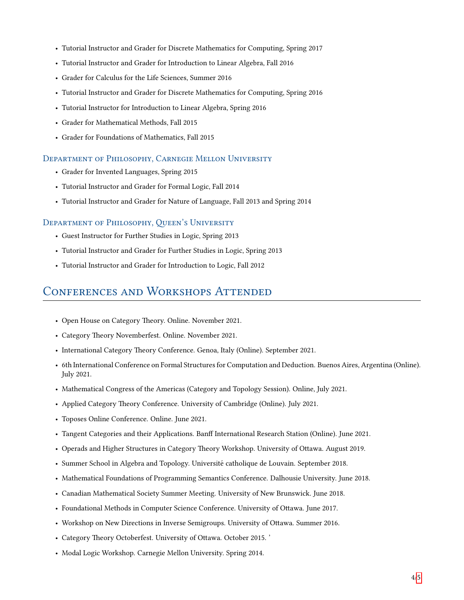- Tutorial Instructor and Grader for Discrete Mathematics for Computing, Spring 2017
- Tutorial Instructor and Grader for Introduction to Linear Algebra, Fall 2016
- Grader for Calculus for the Life Sciences, Summer 2016
- Tutorial Instructor and Grader for Discrete Mathematics for Computing, Spring 2016
- Tutorial Instructor for Introduction to Linear Algebra, Spring 2016
- Grader for Mathematical Methods, Fall 2015
- Grader for Foundations of Mathematics, Fall 2015

#### Department of Philosophy, Carnegie Mellon University

- Grader for Invented Languages, Spring 2015
- Tutorial Instructor and Grader for Formal Logic, Fall 2014
- Tutorial Instructor and Grader for Nature of Language, Fall 2013 and Spring 2014

#### DEPARTMENT OF PHILOSOPHY, QUEEN'S UNIVERSITY

- Guest Instructor for Further Studies in Logic, Spring 2013
- Tutorial Instructor and Grader for Further Studies in Logic, Spring 2013
- Tutorial Instructor and Grader for Introduction to Logic, Fall 2012

### Conferences and Workshops Attended

- Open House on Category Theory. Online. November 2021.
- Category Theory Novemberfest. Online. November 2021.
- International Category Theory Conference. Genoa, Italy (Online). September 2021.
- 6th International Conference on Formal Structures for Computation and Deduction. Buenos Aires, Argentina (Online). July 2021.
- Mathematical Congress of the Americas (Category and Topology Session). Online, July 2021.
- Applied Category Theory Conference. University of Cambridge (Online). July 2021.
- Toposes Online Conference. Online. June 2021.
- Tangent Categories and their Applications. Banff International Research Station (Online). June 2021.
- Operads and Higher Structures in Category Theory Workshop. University of Ottawa. August 2019.
- Summer School in Algebra and Topology. Université catholique de Louvain. September 2018.
- Mathematical Foundations of Programming Semantics Conference. Dalhousie University. June 2018.
- Canadian Mathematical Society Summer Meeting. University of New Brunswick. June 2018.
- Foundational Methods in Computer Science Conference. University of Ottawa. June 2017.
- Workshop on New Directions in Inverse Semigroups. University of Ottawa. Summer 2016.
- Category Theory Octoberfest. University of Ottawa. October 2015. '
- Modal Logic Workshop. Carnegie Mellon University. Spring 2014.